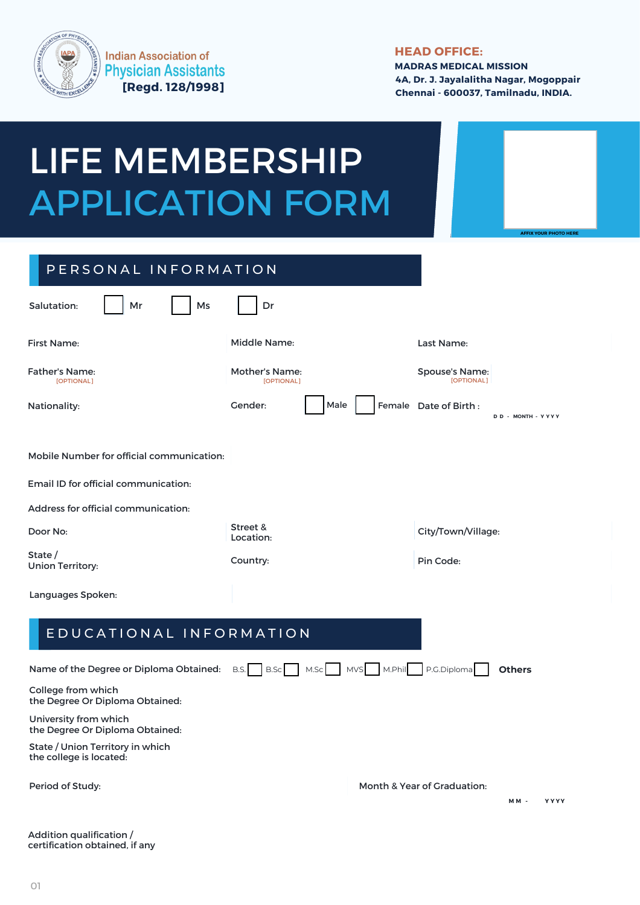

**Indian Association of Physician Assistants [Regd. 128/1998]**

## **HEAD OFFICE:**

**MADRAS MEDICAL MISSION 4A, Dr. J. Jayalalitha Nagar, Mogoppair Chennai - 600037, Tamilnadu, INDIA.**

## Nationality: Cender: Nationality: **D D MONTH - Y Y Y - Y** PERSONAL INFORMATION Mobile Number for official communication: Middle Name: Salutation: First Name: Mr | |Ms | |Dr Last Name: Father's Name: Mother's Name: Spouse's Name: [OPTIONAL] [OPTIONAL] [OPTIONAL] Female Date of Birth : Email ID for official communication: Address for official communication: Street &<br>Location: Door No: extending the street of the street of the city/Town/Village: State / Country: State /<br>Union Territory: Country: Country: Pin Code: E D U C A T I O N A L I N F O R M A T I O N Name of the Degree or Diploma Obtained: B.S. | B.S. | M.S. | M.S. | M.Phil | P.G.Diploma | Others College from which the Degree Or Diploma Obtained: LIFE MEMBERSHIP APPLICATION FORM Languages Spoken: **AFFIX YOUR PHOTO HERE**

University from which the Degree Or Diploma Obtained:

State / Union Territory in which the college is located:

Period of Study:

Month & Year of Graduation:

Addition qualification / certification obtained, if any